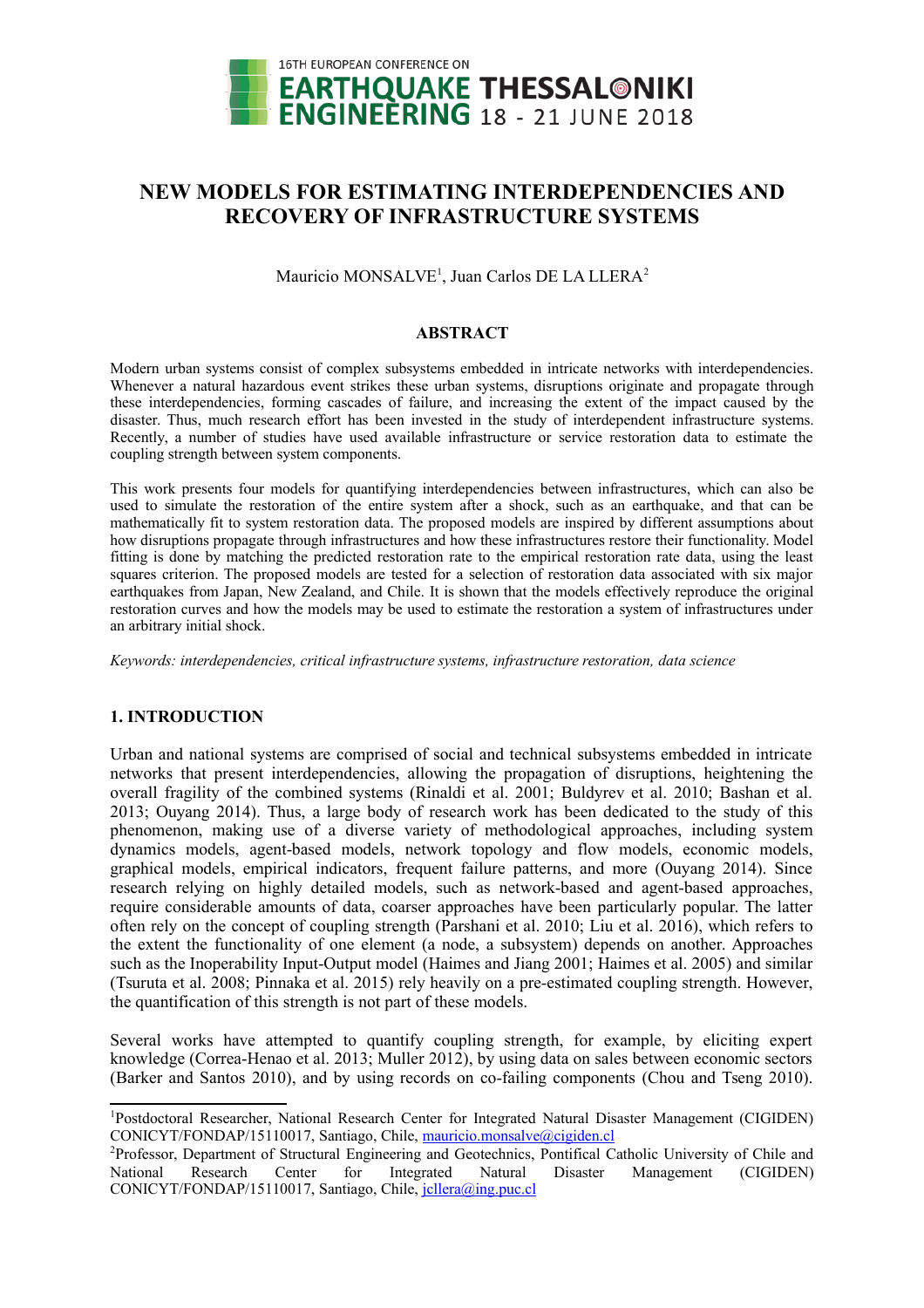

# **NEW MODELS FOR ESTIMATING INTERDEPENDENCIES AND RECOVERY OF INFRASTRUCTURE SYSTEMS**

Mauricio MONSALVE<sup>[1](#page-0-0)</sup>, Juan Carlos DE LA LLERA<sup>[2](#page-0-1)</sup>

### **ABSTRACT**

Modern urban systems consist of complex subsystems embedded in intricate networks with interdependencies. Whenever a natural hazardous event strikes these urban systems, disruptions originate and propagate through these interdependencies, forming cascades of failure, and increasing the extent of the impact caused by the disaster. Thus, much research effort has been invested in the study of interdependent infrastructure systems. Recently, a number of studies have used available infrastructure or service restoration data to estimate the coupling strength between system components.

This work presents four models for quantifying interdependencies between infrastructures, which can also be used to simulate the restoration of the entire system after a shock, such as an earthquake, and that can be mathematically fit to system restoration data. The proposed models are inspired by different assumptions about how disruptions propagate through infrastructures and how these infrastructures restore their functionality. Model fitting is done by matching the predicted restoration rate to the empirical restoration rate data, using the least squares criterion. The proposed models are tested for a selection of restoration data associated with six major earthquakes from Japan, New Zealand, and Chile. It is shown that the models effectively reproduce the original restoration curves and how the models may be used to estimate the restoration a system of infrastructures under an arbitrary initial shock.

*Keywords: interdependencies, critical infrastructure systems, infrastructure restoration, data science*

# **1. INTRODUCTION**

Urban and national systems are comprised of social and technical subsystems embedded in intricate networks that present interdependencies, allowing the propagation of disruptions, heightening the overall fragility of the combined systems (Rinaldi et al. 2001; Buldyrev et al. 2010; Bashan et al. 2013; Ouyang 2014). Thus, a large body of research work has been dedicated to the study of this phenomenon, making use of a diverse variety of methodological approaches, including system dynamics models, agent-based models, network topology and flow models, economic models, graphical models, empirical indicators, frequent failure patterns, and more (Ouyang 2014). Since research relying on highly detailed models, such as network-based and agent-based approaches, require considerable amounts of data, coarser approaches have been particularly popular. The latter often rely on the concept of coupling strength (Parshani et al. 2010; Liu et al. 2016), which refers to the extent the functionality of one element (a node, a subsystem) depends on another. Approaches such as the Inoperability Input-Output model (Haimes and Jiang 2001; Haimes et al. 2005) and similar (Tsuruta et al. 2008; Pinnaka et al. 2015) rely heavily on a pre-estimated coupling strength. However, the quantification of this strength is not part of these models.

Several works have attempted to quantify coupling strength, for example, by eliciting expert knowledge (Correa-Henao et al. 2013; Muller 2012), by using data on sales between economic sectors (Barker and Santos 2010), and by using records on co-failing components (Chou and Tseng 2010).

<span id="page-0-0"></span><sup>1</sup>Postdoctoral Researcher, National Research Center for Integrated Natural Disaster Management (CIGIDEN) CONICYT/FONDAP/15110017, Santiago, Chile, [mauricio.monsalve@cigiden.cl](mailto:mauricio.monsalve@cigiden.cl)

<span id="page-0-1"></span><sup>2</sup>Professor, Department of Structural Engineering and Geotechnics, Pontifical Catholic University of Chile and National Research Center for Integrated Natural Disaster Management (CIGIDEN) CONICYT/FONDAP/15110017, Santiago, Chile, *jcllera@ing.puc.cl*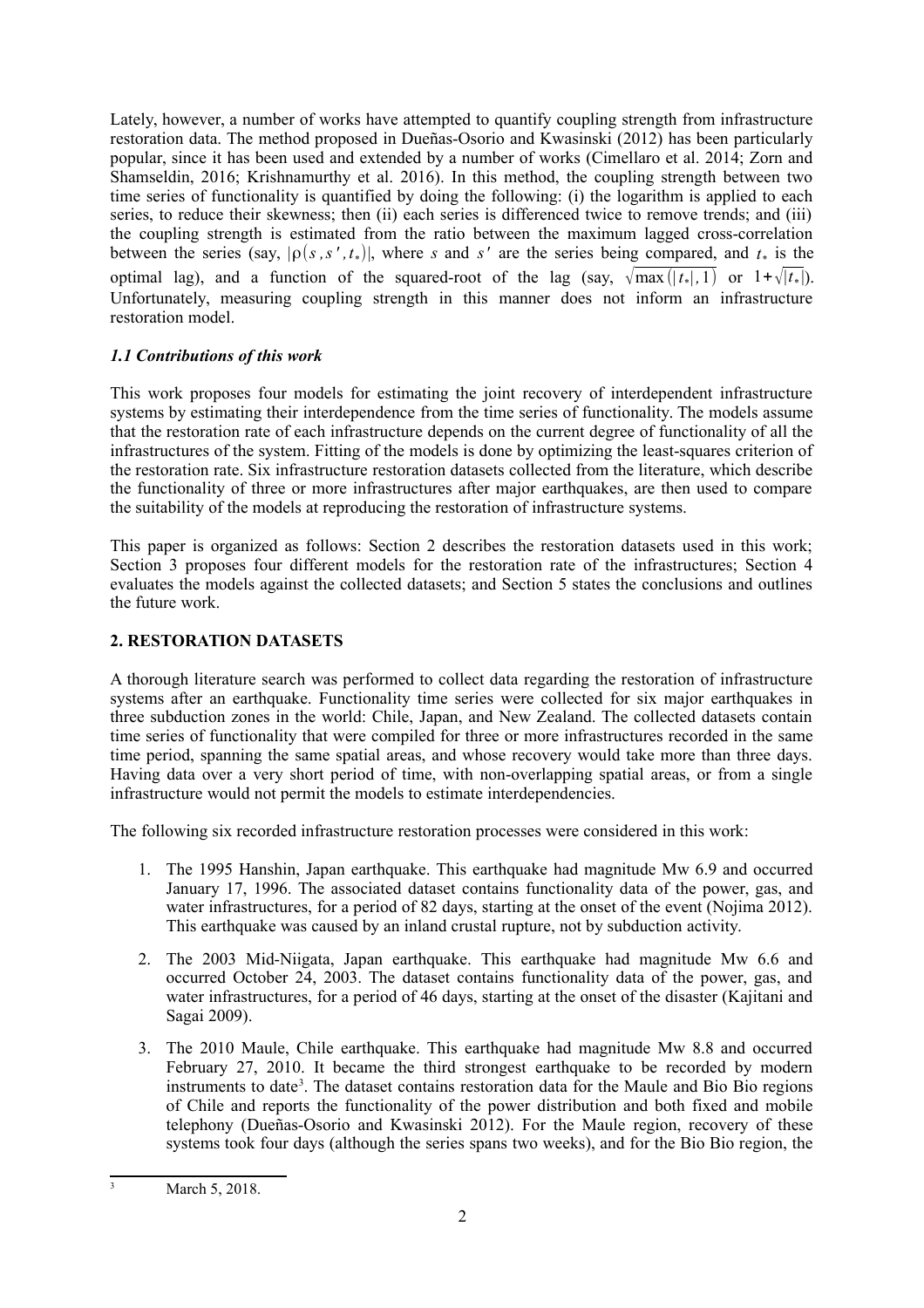Lately, however, a number of works have attempted to quantify coupling strength from infrastructure restoration data. The method proposed in Dueñas-Osorio and Kwasinski (2012) has been particularly popular, since it has been used and extended by a number of works (Cimellaro et al. 2014; Zorn and Shamseldin, 2016; Krishnamurthy et al. 2016). In this method, the coupling strength between two time series of functionality is quantified by doing the following: (i) the logarithm is applied to each series, to reduce their skewness; then (ii) each series is differenced twice to remove trends; and (iii) the coupling strength is estimated from the ratio between the maximum lagged cross-correlation between the series (say,  $|\rho(s, s', t_*)|$ , where *s* and *s'* are the series being compared, and  $t_*$  is the optimal lag), and a function of the squared-root of the lag (say,  $\sqrt{\max(|t_*|, 1)}$  or  $1 + \sqrt{|t_*|}$ ). Unfortunately, measuring coupling strength in this manner does not inform an infrastructure restoration model.

# *1.1 Contributions of this work*

This work proposes four models for estimating the joint recovery of interdependent infrastructure systems by estimating their interdependence from the time series of functionality. The models assume that the restoration rate of each infrastructure depends on the current degree of functionality of all the infrastructures of the system. Fitting of the models is done by optimizing the least-squares criterion of the restoration rate. Six infrastructure restoration datasets collected from the literature, which describe the functionality of three or more infrastructures after major earthquakes, are then used to compare the suitability of the models at reproducing the restoration of infrastructure systems.

This paper is organized as follows: Section 2 describes the restoration datasets used in this work; Section 3 proposes four different models for the restoration rate of the infrastructures; Section 4 evaluates the models against the collected datasets; and Section 5 states the conclusions and outlines the future work.

# **2. RESTORATION DATASETS**

A thorough literature search was performed to collect data regarding the restoration of infrastructure systems after an earthquake. Functionality time series were collected for six major earthquakes in three subduction zones in the world: Chile, Japan, and New Zealand. The collected datasets contain time series of functionality that were compiled for three or more infrastructures recorded in the same time period, spanning the same spatial areas, and whose recovery would take more than three days. Having data over a very short period of time, with non-overlapping spatial areas, or from a single infrastructure would not permit the models to estimate interdependencies.

The following six recorded infrastructure restoration processes were considered in this work:

- 1. The 1995 Hanshin, Japan earthquake. This earthquake had magnitude Mw 6.9 and occurred January 17, 1996. The associated dataset contains functionality data of the power, gas, and water infrastructures, for a period of 82 days, starting at the onset of the event (Nojima 2012). This earthquake was caused by an inland crustal rupture, not by subduction activity.
- 2. The 2003 Mid-Niigata, Japan earthquake. This earthquake had magnitude Mw 6.6 and occurred October 24, 2003. The dataset contains functionality data of the power, gas, and water infrastructures, for a period of 46 days, starting at the onset of the disaster (Kajitani and Sagai 2009).
- 3. The 2010 Maule, Chile earthquake. This earthquake had magnitude Mw 8.8 and occurred February 27, 2010. It became the third strongest earthquake to be recorded by modern instruments to date<sup>[3](#page-1-0)</sup>. The dataset contains restoration data for the Maule and Bio Bio regions of Chile and reports the functionality of the power distribution and both fixed and mobile telephony (Dueñas-Osorio and Kwasinski 2012). For the Maule region, recovery of these systems took four days (although the series spans two weeks), and for the Bio Bio region, the

<span id="page-1-0"></span>March 5, 2018.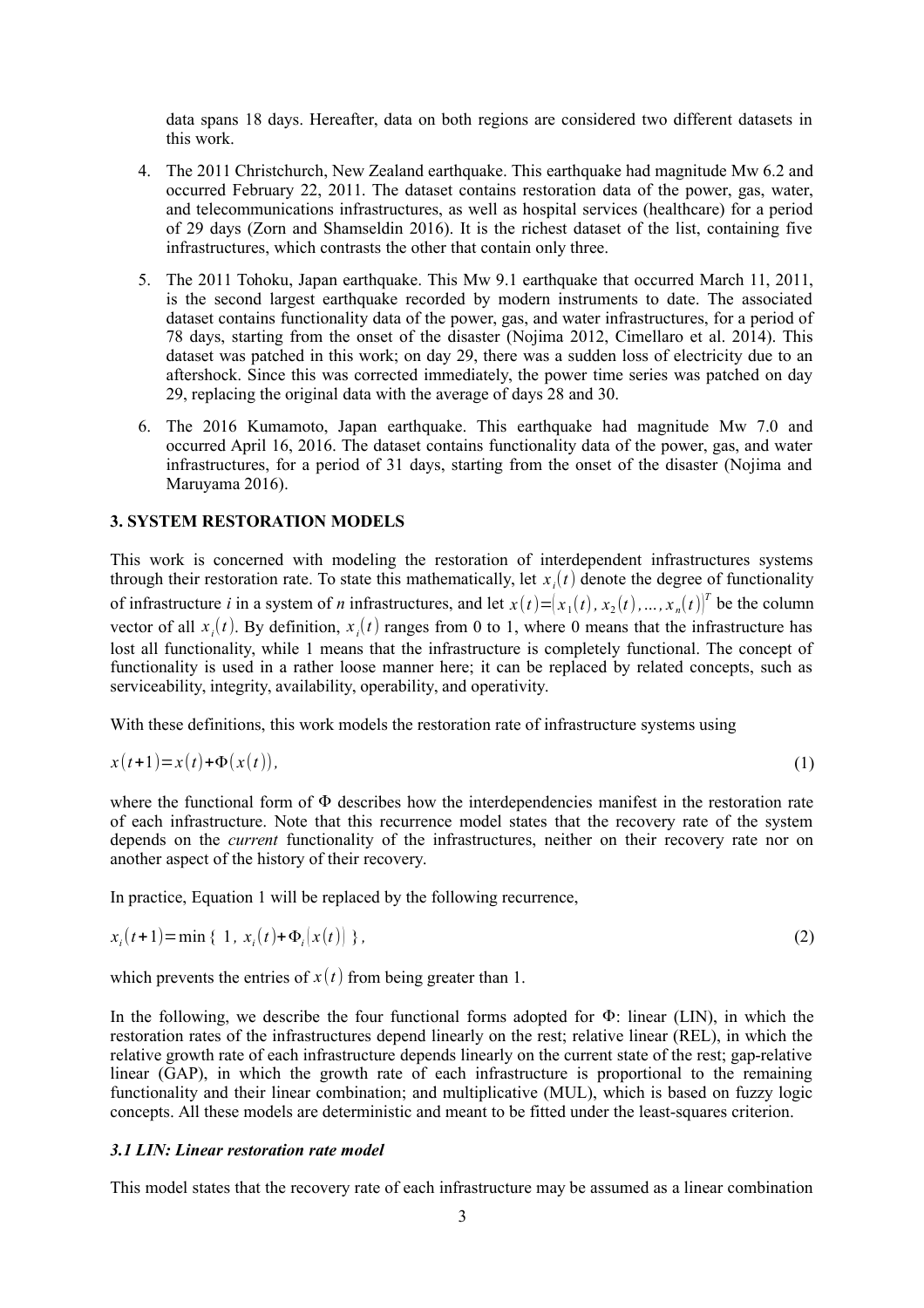data spans 18 days. Hereafter, data on both regions are considered two different datasets in this work.

- 4. The 2011 Christchurch, New Zealand earthquake. This earthquake had magnitude Mw 6.2 and occurred February 22, 2011. The dataset contains restoration data of the power, gas, water, and telecommunications infrastructures, as well as hospital services (healthcare) for a period of 29 days (Zorn and Shamseldin 2016). It is the richest dataset of the list, containing five infrastructures, which contrasts the other that contain only three.
- 5. The 2011 Tohoku, Japan earthquake. This Mw 9.1 earthquake that occurred March 11, 2011, is the second largest earthquake recorded by modern instruments to date. The associated dataset contains functionality data of the power, gas, and water infrastructures, for a period of 78 days, starting from the onset of the disaster (Nojima 2012, Cimellaro et al. 2014). This dataset was patched in this work; on day 29, there was a sudden loss of electricity due to an aftershock. Since this was corrected immediately, the power time series was patched on day 29, replacing the original data with the average of days 28 and 30.
- 6. The 2016 Kumamoto, Japan earthquake. This earthquake had magnitude Mw 7.0 and occurred April 16, 2016. The dataset contains functionality data of the power, gas, and water infrastructures, for a period of 31 days, starting from the onset of the disaster (Nojima and Maruyama 2016).

# **3. SYSTEM RESTORATION MODELS**

This work is concerned with modeling the restoration of interdependent infrastructures systems through their restoration rate. To state this mathematically, let  $x_i(t)$  denote the degree of functionality of infrastructure *i* in a system of *n* infrastructures, and let  $x(t) = (x_1(t), x_2(t), ..., x_n(t))^T$  be the column vector of all  $x_i(t)$ . By definition,  $x_i(t)$  ranges from 0 to 1, where 0 means that the infrastructure has lost all functionality, while 1 means that the infrastructure is completely functional. The concept of functionality is used in a rather loose manner here; it can be replaced by related concepts, such as serviceability, integrity, availability, operability, and operativity.

With these definitions, this work models the restoration rate of infrastructure systems using

$$
x(t+1)=x(t)+\Phi(x(t)),
$$
\n<sup>(1)</sup>

where the functional form of  $\Phi$  describes how the interdependencies manifest in the restoration rate of each infrastructure. Note that this recurrence model states that the recovery rate of the system depends on the *current* functionality of the infrastructures, neither on their recovery rate nor on another aspect of the history of their recovery.

In practice, Equation 1 will be replaced by the following recurrence,

$$
x_i(t+1) = \min\{1, x_i(t) + \Phi_i(x(t))\},\tag{2}
$$

which prevents the entries of  $x(t)$  from being greater than 1.

In the following, we describe the four functional forms adopted for  $\Phi$ : linear (LIN), in which the restoration rates of the infrastructures depend linearly on the rest; relative linear (REL), in which the relative growth rate of each infrastructure depends linearly on the current state of the rest; gap-relative linear (GAP), in which the growth rate of each infrastructure is proportional to the remaining functionality and their linear combination; and multiplicative (MUL), which is based on fuzzy logic concepts. All these models are deterministic and meant to be fitted under the least-squares criterion.

# *3.1 LIN: Linear restoration rate model*

This model states that the recovery rate of each infrastructure may be assumed as a linear combination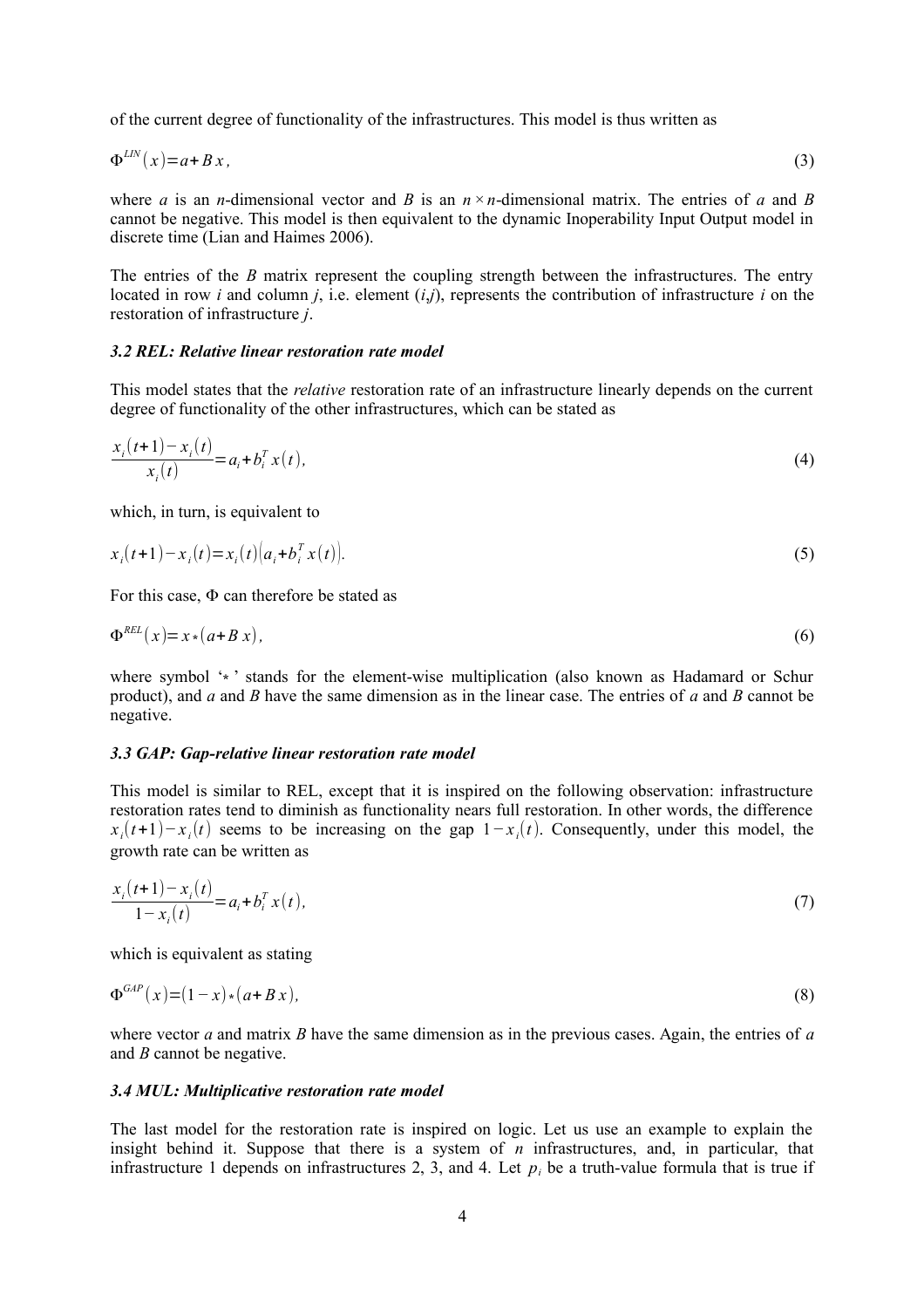of the current degree of functionality of the infrastructures. This model is thus written as

$$
\Phi^{LN}(x) = a + Bx,\tag{3}
$$

where *a* is an *n*-dimensional vector and *B* is an  $n \times n$ -dimensional matrix. The entries of *a* and *B* cannot be negative. This model is then equivalent to the dynamic Inoperability Input Output model in discrete time (Lian and Haimes 2006).

The entries of the *B* matrix represent the coupling strength between the infrastructures. The entry located in row *i* and column *j*, i.e. element (*i*,*j*), represents the contribution of infrastructure *i* on the restoration of infrastructure *j*.

### *3.2 REL: Relative linear restoration rate model*

This model states that the *relative* restoration rate of an infrastructure linearly depends on the current degree of functionality of the other infrastructures, which can be stated as

$$
\frac{x_i(t+1) - x_i(t)}{x_i(t)} = a_i + b_i^T x(t),
$$
\n(4)

which, in turn, is equivalent to

$$
x_i(t+1) - x_i(t) = x_i(t) \left( a_i + b_i^T x(t) \right).
$$
 (5)

For this case,  $\Phi$  can therefore be stated as

$$
\Phi^{REL}(x) = x \cdot (a + B x),\tag{6}
$$

where symbol '<sup>∗</sup> stands for the element-wise multiplication (also known as Hadamard or Schur product), and *a* and *B* have the same dimension as in the linear case. The entries of *a* and *B* cannot be negative.

#### *3.3 GAP: Gap-relative linear restoration rate model*

This model is similar to REL, except that it is inspired on the following observation: infrastructure restoration rates tend to diminish as functionality nears full restoration. In other words, the difference  $x_i(t+1) - x_i(t)$  seems to be increasing on the gap  $1 - x_i(t)$ . Consequently, under this model, the growth rate can be written as

$$
\frac{x_i(t+1) - x_i(t)}{1 - x_i(t)} = a_i + b_i^T x(t),
$$
\n(7)

which is equivalent as stating

$$
\Phi^{GAP}(x) = (1-x)*(a+Bx),\tag{8}
$$

where vector *a* and matrix *B* have the same dimension as in the previous cases. Again, the entries of *a* and *B* cannot be negative.

#### *3.4 MUL: Multiplicative restoration rate model*

The last model for the restoration rate is inspired on logic. Let us use an example to explain the insight behind it. Suppose that there is a system of  $n$  infrastructures, and, in particular, that infrastructure 1 depends on infrastructures 2, 3, and 4. Let  $p_i$  be a truth-value formula that is true if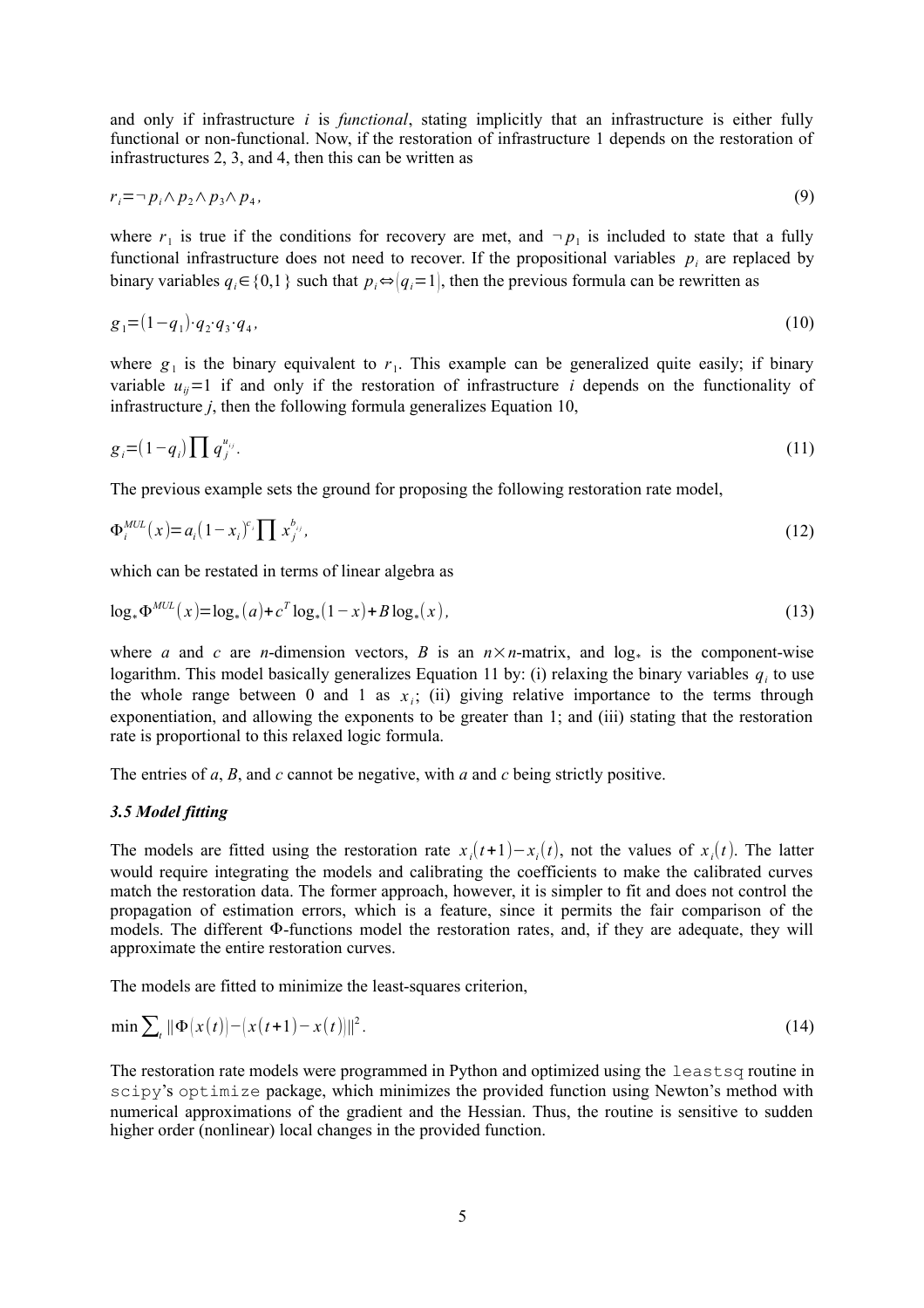and only if infrastructure *i* is *functional*, stating implicitly that an infrastructure is either fully functional or non-functional. Now, if the restoration of infrastructure 1 depends on the restoration of infrastructures 2, 3, and 4, then this can be written as

$$
r_i = \neg p_i \land p_2 \land p_3 \land p_4,\tag{9}
$$

where  $r_1$  is true if the conditions for recovery are met, and  $\neg p_1$  is included to state that a fully functional infrastructure does not need to recover. If the propositional variables  $p_i$  are replaced by binary variables  $q_i \in \{0,1\}$  such that  $p_i \Leftrightarrow |q_i=1|$ , then the previous formula can be rewritten as

$$
g_1 = (1 - q_1) \cdot q_2 \cdot q_3 \cdot q_4,\tag{10}
$$

where  $g_1$  is the binary equivalent to  $r_1$ . This example can be generalized quite easily; if binary variable  $u_{ii}$ =1 if and only if the restoration of infrastructure *i* depends on the functionality of infrastructure *j*, then the following formula generalizes Equation 10,

$$
g_i = (1 - q_i) \prod q_j^{u_{ij}}.
$$
\n
$$
(11)
$$

The previous example sets the ground for proposing the following restoration rate model,

$$
\Phi_i^{MUL}(x) = a_i (1 - x_i)^{c_i} \prod x_j^{b_{ij}}, \tag{12}
$$

which can be restated in terms of linear algebra as

$$
\log_* \Phi^{MUL}(x) = \log_*(a) + c^T \log_*(1-x) + B \log_*(x), \tag{13}
$$

where *a* and *c* are *n*-dimension vectors, *B* is an  $n \times n$ -matrix, and log<sub>\*</sub> is the component-wise logarithm. This model basically generalizes Equation 11 by: (i) relaxing the binary variables  $q_i$  to use the whole range between 0 and 1 as  $x_i$ ; (ii) giving relative importance to the terms through exponentiation, and allowing the exponents to be greater than 1; and (iii) stating that the restoration rate is proportional to this relaxed logic formula.

The entries of *a*, *B*, and *c* cannot be negative, with *a* and *c* being strictly positive.

# *3.5 Model fitting*

The models are fitted using the restoration rate  $x_i(t+1) - x_i(t)$ , not the values of  $x_i(t)$ . The latter would require integrating the models and calibrating the coefficients to make the calibrated curves match the restoration data. The former approach, however, it is simpler to fit and does not control the propagation of estimation errors, which is a feature, since it permits the fair comparison of the models. The different Φ-functions model the restoration rates, and, if they are adequate, they will approximate the entire restoration curves.

The models are fitted to minimize the least-squares criterion,

$$
\min \sum_{t} \|\Phi(x(t)) - (x(t+1) - x(t))\|^2. \tag{14}
$$

The restoration rate models were programmed in Python and optimized using the leastsq routine in scipy's optimize package, which minimizes the provided function using Newton's method with numerical approximations of the gradient and the Hessian. Thus, the routine is sensitive to sudden higher order (nonlinear) local changes in the provided function.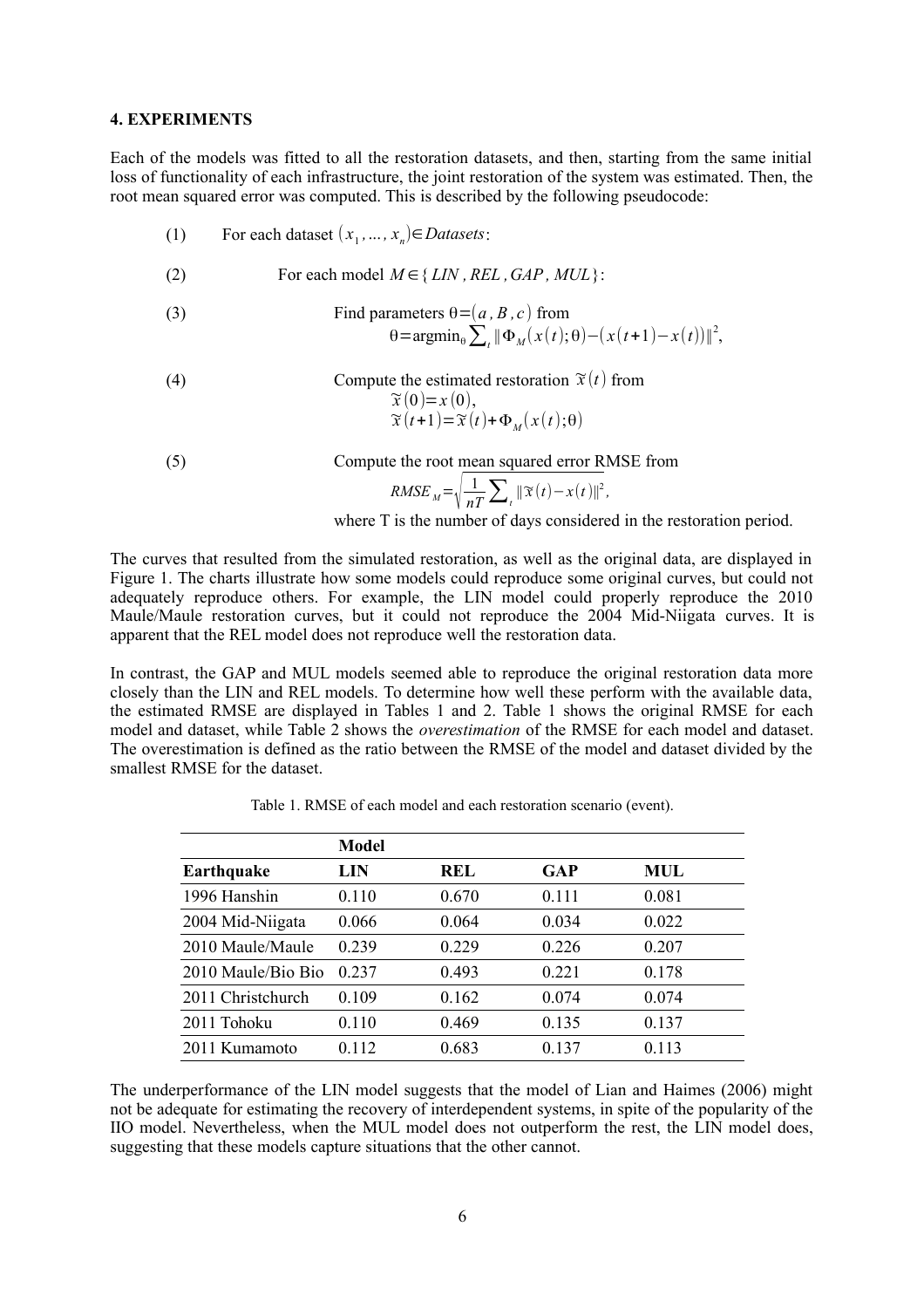#### **4. EXPERIMENTS**

Each of the models was fitted to all the restoration datasets, and then, starting from the same initial loss of functionality of each infrastructure, the joint restoration of the system was estimated. Then, the root mean squared error was computed. This is described by the following pseudocode:

- (1) For each dataset  $(x_1, ..., x_n) \in D{\text{}atasets}$ : (2) For each model  $M \in \{LIN, REL, GAP, MUL\}$ : (3) Find parameters  $\theta = (a, B, c)$  from  $\theta = \text{argmin}_{\theta} \sum_{t} || \Phi_M(x(t); \theta) - (x(t+1) - x(t)) ||^2,$ (4) Compute the estimated restoration  $\tilde{x}(t)$  from  $\widetilde{x}(0)=x(0),$  $\widetilde{x}(t+1)=\widetilde{x}(t)+\Phi_M(x(t);\theta)$
- (5) Compute the root mean squared error RMSE from

$$
RMSE_{M} = \sqrt{\frac{1}{nT} \sum_{t} ||\mathfrak{X}(t) - x(t)||^{2}},
$$

where T is the number of days considered in the restoration period.

The curves that resulted from the simulated restoration, as well as the original data, are displayed in Figure 1. The charts illustrate how some models could reproduce some original curves, but could not adequately reproduce others. For example, the LIN model could properly reproduce the 2010 Maule/Maule restoration curves, but it could not reproduce the 2004 Mid-Niigata curves. It is apparent that the REL model does not reproduce well the restoration data.

In contrast, the GAP and MUL models seemed able to reproduce the original restoration data more closely than the LIN and REL models. To determine how well these perform with the available data, the estimated RMSE are displayed in Tables 1 and 2. Table 1 shows the original RMSE for each model and dataset, while Table 2 shows the *overestimation* of the RMSE for each model and dataset. The overestimation is defined as the ratio between the RMSE of the model and dataset divided by the smallest RMSE for the dataset.

|                    | <b>Model</b> |            |       |            |
|--------------------|--------------|------------|-------|------------|
| <b>Earthquake</b>  | LIN          | <b>REL</b> | GAP   | <b>MUL</b> |
| 1996 Hanshin       | 0.110        | 0.670      | 0.111 | 0.081      |
| 2004 Mid-Niigata   | 0.066        | 0.064      | 0.034 | 0.022      |
| 2010 Maule/Maule   | 0.239        | 0.229      | 0.226 | 0.207      |
| 2010 Maule/Bio Bio | 0.237        | 0.493      | 0.221 | 0.178      |
| 2011 Christchurch  | 0.109        | 0.162      | 0.074 | 0.074      |
| 2011 Tohoku        | 0.110        | 0.469      | 0.135 | 0.137      |
| 2011 Kumamoto      | 0.112        | 0.683      | 0.137 | 0.113      |

Table 1. RMSE of each model and each restoration scenario (event).

The underperformance of the LIN model suggests that the model of Lian and Haimes (2006) might not be adequate for estimating the recovery of interdependent systems, in spite of the popularity of the IIO model. Nevertheless, when the MUL model does not outperform the rest, the LIN model does, suggesting that these models capture situations that the other cannot.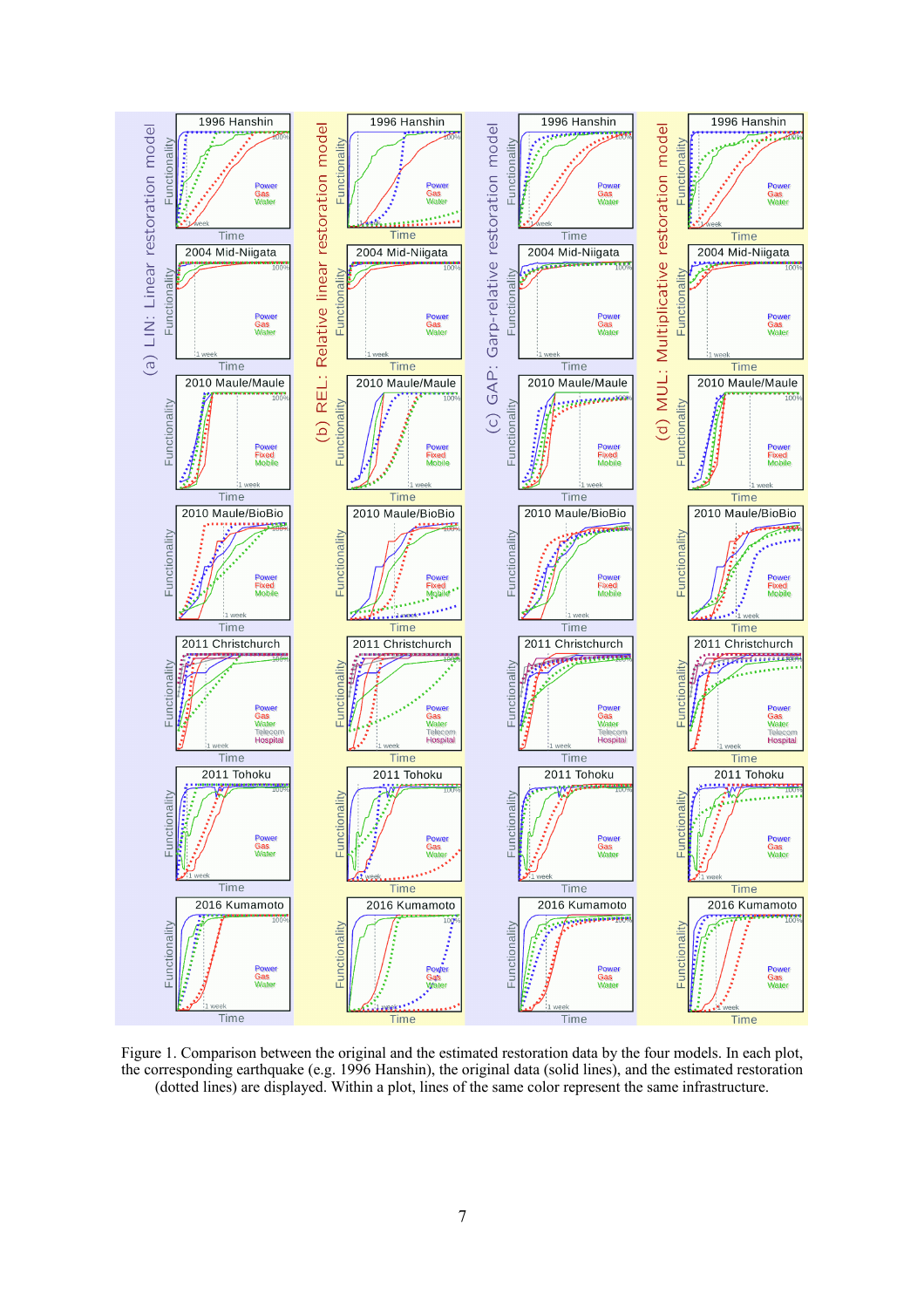

Figure 1. Comparison between the original and the estimated restoration data by the four models. In each plot, the corresponding earthquake (e.g. 1996 Hanshin), the original data (solid lines), and the estimated restoration (dotted lines) are displayed. Within a plot, lines of the same color represent the same infrastructure.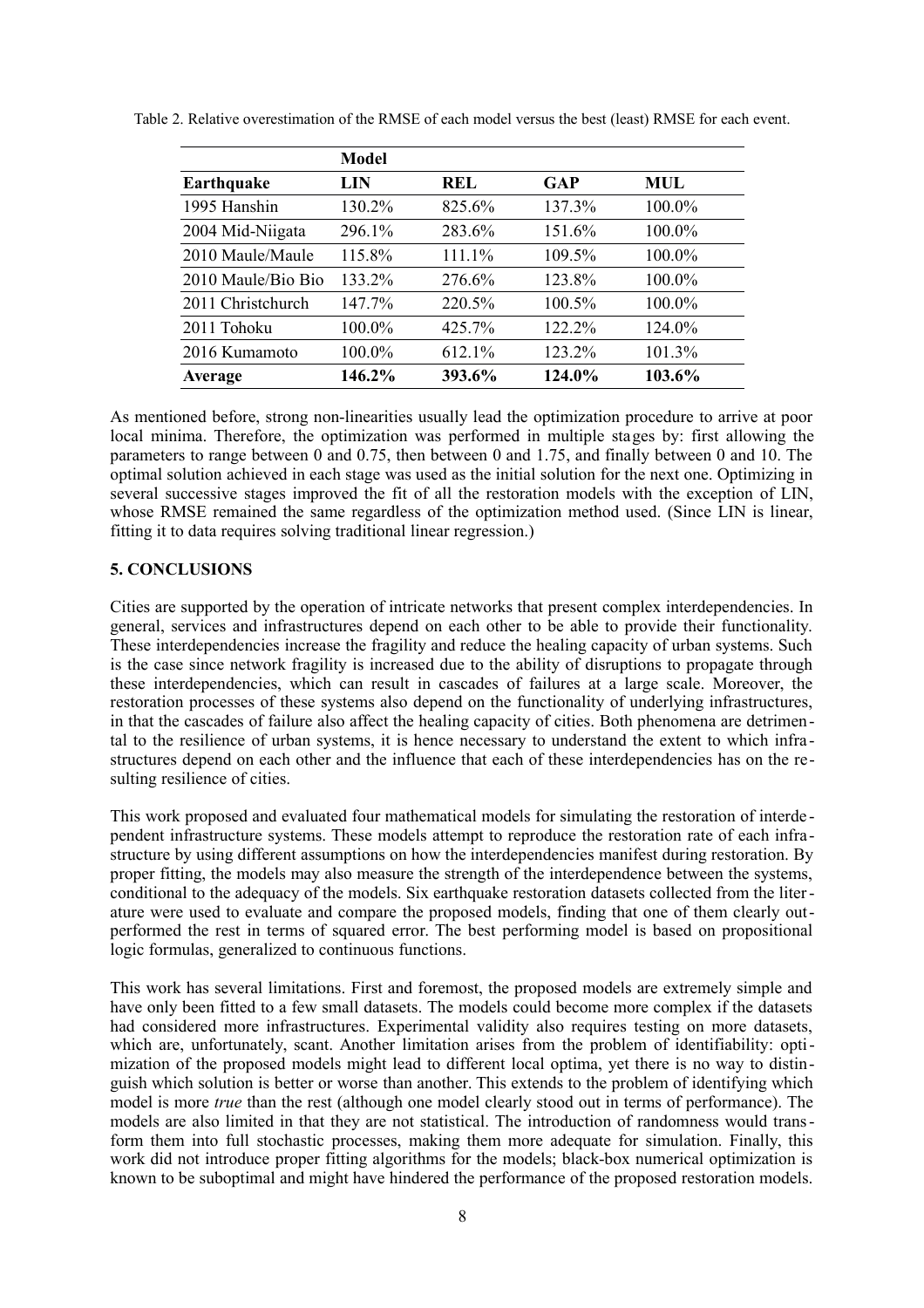|                    | <b>Model</b> |        |        |            |  |
|--------------------|--------------|--------|--------|------------|--|
| Earthquake         | LIN          | REL    | GAP    | <b>MUL</b> |  |
| 1995 Hanshin       | 130.2%       | 825.6% | 137.3% | 100.0%     |  |
| 2004 Mid-Niigata   | 296.1%       | 283.6% | 151.6% | 100.0%     |  |
| 2010 Maule/Maule   | 115.8%       | 111.1% | 109.5% | 100.0%     |  |
| 2010 Maule/Bio Bio | 133.2%       | 276.6% | 123.8% | 100.0%     |  |
| 2011 Christchurch  | 147.7%       | 220.5% | 100.5% | 100.0%     |  |
| 2011 Tohoku        | 100.0%       | 425.7% | 122.2% | 124.0%     |  |
| 2016 Kumamoto      | 100.0%       | 612.1% | 123.2% | 101.3%     |  |
| <b>Average</b>     | 146.2%       | 393.6% | 124.0% | 103.6%     |  |

Table 2. Relative overestimation of the RMSE of each model versus the best (least) RMSE for each event.

As mentioned before, strong non-linearities usually lead the optimization procedure to arrive at poor local minima. Therefore, the optimization was performed in multiple stages by: first allowing the parameters to range between 0 and 0.75, then between 0 and 1.75, and finally between 0 and 10. The optimal solution achieved in each stage was used as the initial solution for the next one. Optimizing in several successive stages improved the fit of all the restoration models with the exception of LIN, whose RMSE remained the same regardless of the optimization method used. (Since LIN is linear, fitting it to data requires solving traditional linear regression.)

# **5. CONCLUSIONS**

Cities are supported by the operation of intricate networks that present complex interdependencies. In general, services and infrastructures depend on each other to be able to provide their functionality. These interdependencies increase the fragility and reduce the healing capacity of urban systems. Such is the case since network fragility is increased due to the ability of disruptions to propagate through these interdependencies, which can result in cascades of failures at a large scale. Moreover, the restoration processes of these systems also depend on the functionality of underlying infrastructures, in that the cascades of failure also affect the healing capacity of cities. Both phenomena are detrimental to the resilience of urban systems, it is hence necessary to understand the extent to which infra structures depend on each other and the influence that each of these interdependencies has on the resulting resilience of cities.

This work proposed and evaluated four mathematical models for simulating the restoration of interde pendent infrastructure systems. These models attempt to reproduce the restoration rate of each infrastructure by using different assumptions on how the interdependencies manifest during restoration. By proper fitting, the models may also measure the strength of the interdependence between the systems, conditional to the adequacy of the models. Six earthquake restoration datasets collected from the literature were used to evaluate and compare the proposed models, finding that one of them clearly outperformed the rest in terms of squared error. The best performing model is based on propositional logic formulas, generalized to continuous functions.

This work has several limitations. First and foremost, the proposed models are extremely simple and have only been fitted to a few small datasets. The models could become more complex if the datasets had considered more infrastructures. Experimental validity also requires testing on more datasets, which are, unfortunately, scant. Another limitation arises from the problem of identifiability: optimization of the proposed models might lead to different local optima, yet there is no way to distinguish which solution is better or worse than another. This extends to the problem of identifying which model is more *true* than the rest (although one model clearly stood out in terms of performance). The models are also limited in that they are not statistical. The introduction of randomness would transform them into full stochastic processes, making them more adequate for simulation. Finally, this work did not introduce proper fitting algorithms for the models; black-box numerical optimization is known to be suboptimal and might have hindered the performance of the proposed restoration models.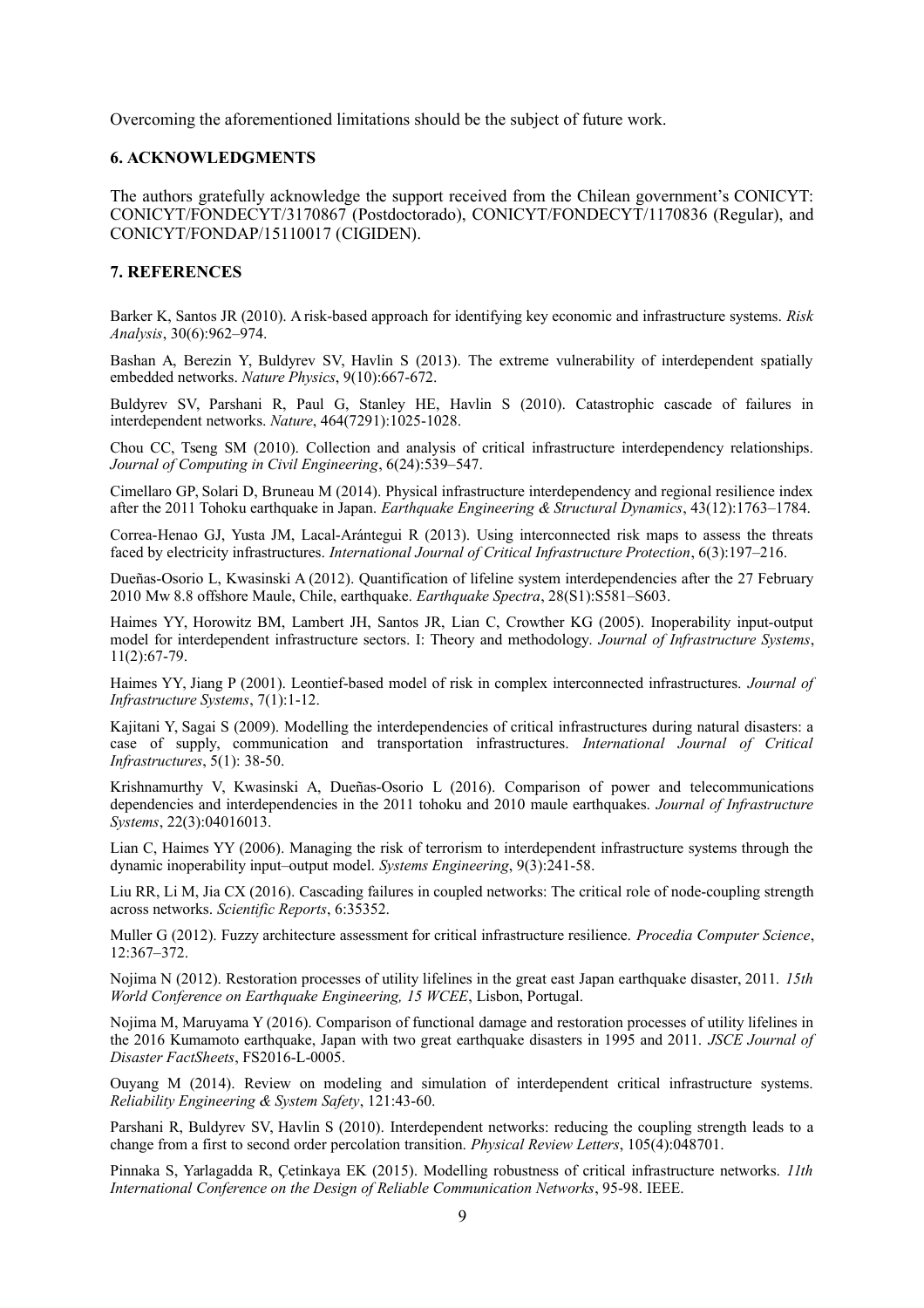Overcoming the aforementioned limitations should be the subject of future work.

### **6. ACKNOWLEDGMENTS**

The authors gratefully acknowledge the support received from the Chilean government's CONICYT: CONICYT/FONDECYT/3170867 (Postdoctorado), CONICYT/FONDECYT/1170836 (Regular), and CONICYT/FONDAP/15110017 (CIGIDEN).

### **7. REFERENCES**

Barker K, Santos JR (2010). A risk-based approach for identifying key economic and infrastructure systems. *Risk Analysis*, 30(6):962–974.

Bashan A, Berezin Y, Buldyrev SV, Havlin S (2013). The extreme vulnerability of interdependent spatially embedded networks. *Nature Physics*, 9(10):667-672.

Buldyrev SV, Parshani R, Paul G, Stanley HE, Havlin S (2010). Catastrophic cascade of failures in interdependent networks. *Nature*, 464(7291):1025-1028.

Chou CC, Tseng SM (2010). Collection and analysis of critical infrastructure interdependency relationships. *Journal of Computing in Civil Engineering*, 6(24):539–547.

Cimellaro GP, Solari D, Bruneau M (2014). Physical infrastructure interdependency and regional resilience index after the 2011 Tohoku earthquake in Japan. *Earthquake Engineering & Structural Dynamics*, 43(12):1763–1784.

Correa-Henao GJ, Yusta JM, Lacal-Arántegui R (2013). Using interconnected risk maps to assess the threats faced by electricity infrastructures. *International Journal of Critical Infrastructure Protection*, 6(3):197–216.

Dueñas-Osorio L, Kwasinski A (2012). Quantification of lifeline system interdependencies after the 27 February 2010 Mw 8.8 offshore Maule, Chile, earthquake. *Earthquake Spectra*, 28(S1):S581–S603.

Haimes YY, Horowitz BM, Lambert JH, Santos JR, Lian C, Crowther KG (2005). Inoperability input-output model for interdependent infrastructure sectors. I: Theory and methodology. *Journal of Infrastructure Systems*, 11(2):67-79.

Haimes YY, Jiang P (2001). Leontief-based model of risk in complex interconnected infrastructures. *Journal of Infrastructure Systems*, 7(1):1-12.

Kajitani Y, Sagai S (2009). Modelling the interdependencies of critical infrastructures during natural disasters: a case of supply, communication and transportation infrastructures. *International Journal of Critical Infrastructures*, 5(1): 38-50.

Krishnamurthy V, Kwasinski A, Dueñas-Osorio L (2016). Comparison of power and telecommunications dependencies and interdependencies in the 2011 tohoku and 2010 maule earthquakes. *Journal of Infrastructure Systems*, 22(3):04016013.

Lian C, Haimes YY (2006). Managing the risk of terrorism to interdependent infrastructure systems through the dynamic inoperability input–output model. *Systems Engineering*, 9(3):241-58.

Liu RR, Li M, Jia CX (2016). Cascading failures in coupled networks: The critical role of node-coupling strength across networks. *Scientific Reports*, 6:35352.

Muller G (2012). Fuzzy architecture assessment for critical infrastructure resilience. *Procedia Computer Science*, 12:367–372.

Nojima N (2012). Restoration processes of utility lifelines in the great east Japan earthquake disaster, 2011. *15th World Conference on Earthquake Engineering, 15 WCEE*, Lisbon, Portugal.

Nojima M, Maruyama Y (2016). Comparison of functional damage and restoration processes of utility lifelines in the 2016 Kumamoto earthquake, Japan with two great earthquake disasters in 1995 and 2011. *JSCE Journal of Disaster FactSheets*, FS2016-L-0005.

Ouyang M (2014). Review on modeling and simulation of interdependent critical infrastructure systems. *Reliability Engineering & System Safety*, 121:43-60.

Parshani R, Buldyrev SV, Havlin S (2010). Interdependent networks: reducing the coupling strength leads to a change from a first to second order percolation transition. *Physical Review Letters*, 105(4):048701.

Pinnaka S, Yarlagadda R, Çetinkaya EK (2015). Modelling robustness of critical infrastructure networks. *11th International Conference on the Design of Reliable Communication Networks*, 95-98. IEEE.